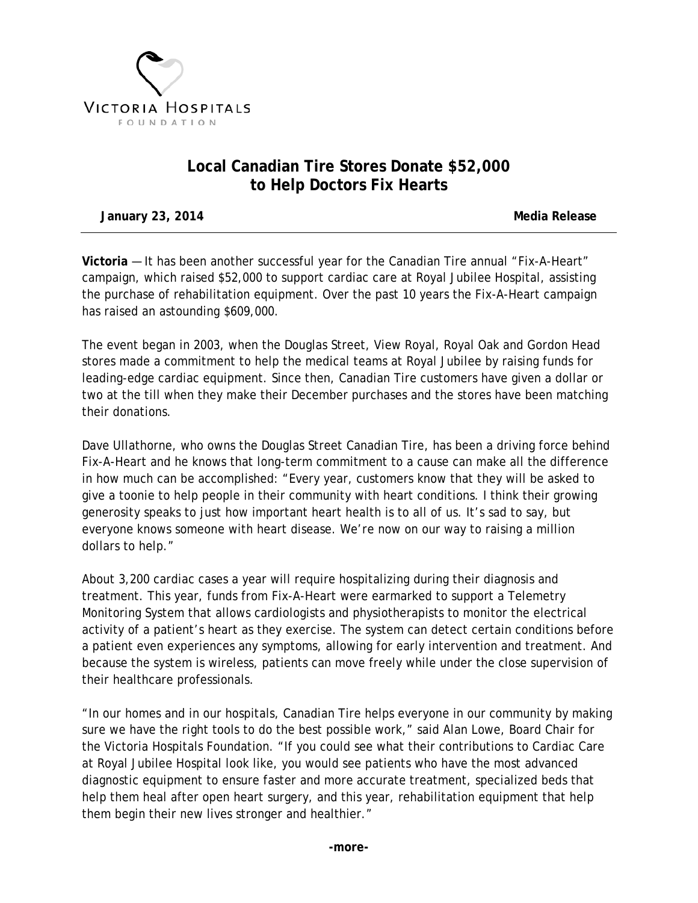

## **Local Canadian Tire Stores Donate \$52,000 to Help Doctors Fix Hearts**

**January 23, 2014 Media Release**

**Victoria** — It has been another successful year for the Canadian Tire annual "Fix-A-Heart" campaign, which raised \$52,000 to support cardiac care at Royal Jubilee Hospital, assisting the purchase of rehabilitation equipment. Over the past 10 years the Fix-A-Heart campaign has raised an astounding \$609,000.

The event began in 2003, when the Douglas Street, View Royal, Royal Oak and Gordon Head stores made a commitment to help the medical teams at Royal Jubilee by raising funds for leading-edge cardiac equipment. Since then, Canadian Tire customers have given a dollar or two at the till when they make their December purchases and the stores have been matching their donations.

Dave Ullathorne, who owns the Douglas Street Canadian Tire, has been a driving force behind Fix-A-Heart and he knows that long-term commitment to a cause can make all the difference in how much can be accomplished: "Every year, customers know that they will be asked to give a toonie to help people in their community with heart conditions. I think their growing generosity speaks to just how important heart health is to all of us. It's sad to say, but everyone knows someone with heart disease. We're now on our way to raising a million dollars to help."

About 3,200 cardiac cases a year will require hospitalizing during their diagnosis and treatment. This year, funds from Fix-A-Heart were earmarked to support a Telemetry Monitoring System that allows cardiologists and physiotherapists to monitor the electrical activity of a patient's heart as they exercise. The system can detect certain conditions before a patient even experiences any symptoms, allowing for early intervention and treatment. And because the system is wireless, patients can move freely while under the close supervision of their healthcare professionals.

"In our homes and in our hospitals, Canadian Tire helps everyone in our community by making sure we have the right tools to do the best possible work," said Alan Lowe, Board Chair for the Victoria Hospitals Foundation. "If you could see what their contributions to Cardiac Care at Royal Jubilee Hospital look like, you would see patients who have the most advanced diagnostic equipment to ensure faster and more accurate treatment, specialized beds that help them heal after open heart surgery, and this year, rehabilitation equipment that help them begin their new lives stronger and healthier."